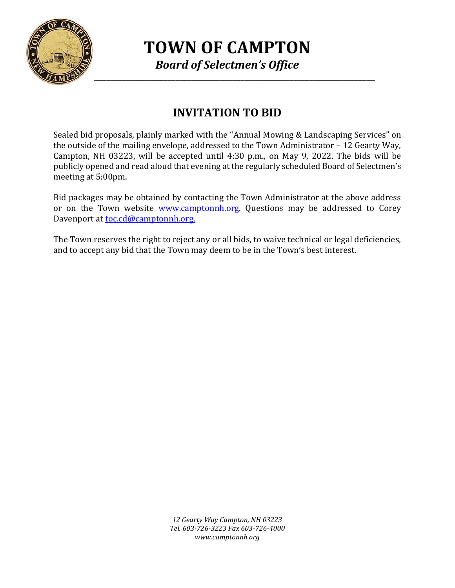

**TOWN OF CAMPTON** *Board of Selectmen's Office*

# **INVITATION TO BID**

Sealed bid proposals, plainly marked with the "Annual Mowing & Landscaping Services" on the outside of the mailing envelope, addressed to the Town Administrator – 12 Gearty Way, Campton, NH 03223, will be accepted until 4:30 p.m., on May 9, 2022. The bids will be publicly opened and read aloud that evening at the regularly scheduled Board of Selectmen's meeting at 5:00pm.

Bid packages may be obtained by contacting the Town Administrator at the above address or on the Town website [www.camptonnh.org.](http://www.camptonnh.org/) Questions may be addressed to Corey Davenport a[t toc.cd@camptonnh.org.](mailto:toc.cd@camptonnh.org.) 

The Town reserves the right to reject any or all bids, to waive technical or legal deficiencies, and to accept any bid that the Town may deem to be in the Town's best interest.

> *12 Gearty Way Campton, NH 03223 Tel. 603-726-3223 Fax 603-726-4000 www.camptonnh.org*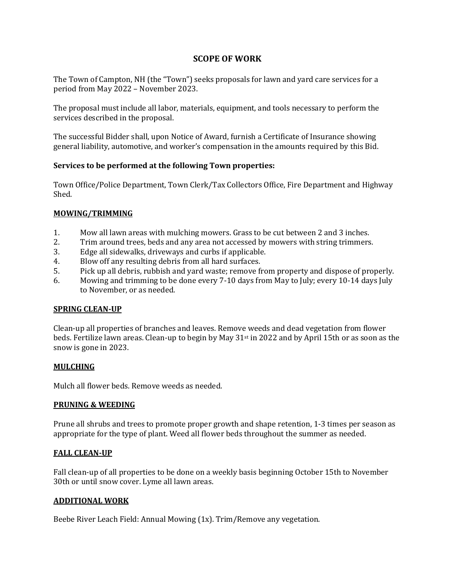## **SCOPE OF WORK**

The Town of Campton, NH (the "Town") seeks proposals for lawn and yard care services for a period from May 2022 – November 2023.

The proposal must include all labor, materials, equipment, and tools necessary to perform the services described in the proposal.

The successful Bidder shall, upon Notice of Award, furnish a Certificate of Insurance showing general liability, automotive, and worker's compensation in the amounts required by this Bid.

## **Services to be performed at the following Town properties:**

Town Office/Police Department, Town Clerk/Tax Collectors Office, Fire Department and Highway Shed.

### **MOWING/TRIMMING**

- 1. Mow all lawn areas with mulching mowers. Grass to be cut between 2 and 3 inches.
- 2. Trim around trees, beds and any area not accessed by mowers with string trimmers.
- 3. Edge all sidewalks, driveways and curbs if applicable.
- 4. Blow off any resulting debris from all hard surfaces.
- 5. Pick up all debris, rubbish and yard waste; remove from property and dispose of properly.
- 6. Mowing and trimming to be done every 7-10 days from May to July; every 10-14 days July to November, or as needed.

#### **SPRING CLEAN-UP**

Clean-up all properties of branches and leaves. Remove weeds and dead vegetation from flower beds. Fertilize lawn areas. Clean-up to begin by May 31<sup>st</sup> in 2022 and by April 15th or as soon as the snow is gone in 2023.

#### **MULCHING**

Mulch all flower beds. Remove weeds as needed.

#### **PRUNING & WEEDING**

Prune all shrubs and trees to promote proper growth and shape retention, 1-3 times per season as appropriate for the type of plant. Weed all flower beds throughout the summer as needed.

#### **FALL CLEAN-UP**

Fall clean-up of all properties to be done on a weekly basis beginning October 15th to November 30th or until snow cover. Lyme all lawn areas.

#### **ADDITIONAL WORK**

Beebe River Leach Field: Annual Mowing (1x). Trim/Remove any vegetation.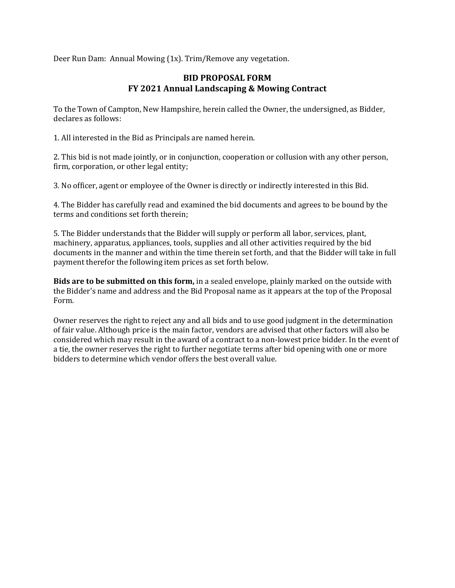Deer Run Dam: Annual Mowing (1x). Trim/Remove any vegetation.

## **BID PROPOSAL FORM FY 2021 Annual Landscaping & Mowing Contract**

To the Town of Campton, New Hampshire, herein called the Owner, the undersigned, as Bidder, declares as follows:

1. All interested in the Bid as Principals are named herein.

2. This bid is not made jointly, or in conjunction, cooperation or collusion with any other person, firm, corporation, or other legal entity;

3. No officer, agent or employee of the Owner is directly or indirectly interested in this Bid.

4. The Bidder has carefully read and examined the bid documents and agrees to be bound by the terms and conditions set forth therein;

5. The Bidder understands that the Bidder will supply or perform all labor, services, plant, machinery, apparatus, appliances, tools, supplies and all other activities required by the bid documents in the manner and within the time therein set forth, and that the Bidder will take in full payment therefor the following item prices as set forth below.

**Bids are to be submitted on this form,** in a sealed envelope, plainly marked on the outside with the Bidder's name and address and the Bid Proposal name as it appears at the top of the Proposal Form.

Owner reserves the right to reject any and all bids and to use good judgment in the determination of fair value. Although price is the main factor, vendors are advised that other factors will also be considered which may result in the award of a contract to a non-lowest price bidder. In the event of a tie, the owner reserves the right to further negotiate terms after bid opening with one or more bidders to determine which vendor offers the best overall value.